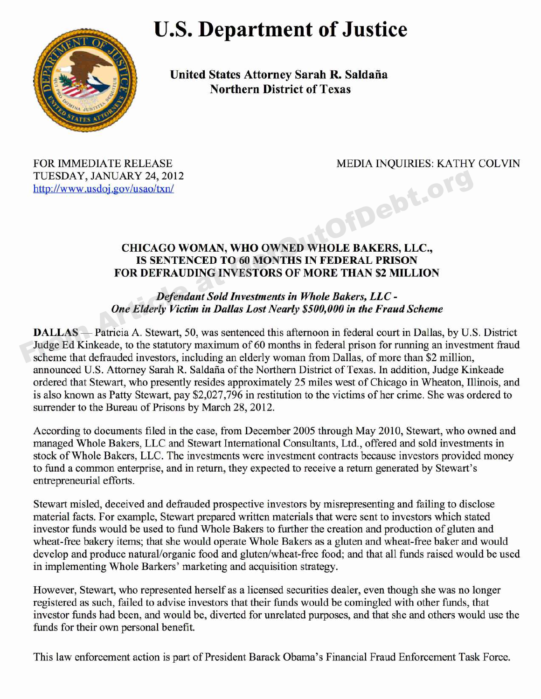## **U.S. Department of Justice**



**United States Attorney Sarah R. Saldana Northern District of Texas**

TUESDAY, JANUARY 24, 2012 http://www.usdoj.gov/usao/txn/

FOR IMMEDIATE RELEASE MEDIA INQUIRIES: KATHY COLVIN from Article and

## **CHICAGO WOMAN, WHO OWNED WHOLE BAKERS, LLC., IS SENTENCED TO 60 MONTHS IN FEDERAL PRISON FOR DEFRAUDING INVESTORS OF MORE THAN** \$2 **MILLION**

## **Defendant Sold Investments in Whole Bakers, LLC -One Elderly Victim in Dallas Lost Nearly \$500,000 in the Fraud Scheme**

**DALLAS** — Patricia A. Stewart, 50, was sentenced this afternoon in federal court in Dallas, by U.S. District Judge Ed Kinkeade, to the statutory maximum of 60 months in federal prison for running an investment fraud scheme that defrauded investors, including an elderly woman from Dallas, of more than \$2 million, announced U.S. Attorney Sarah R. Saldana of the Northern District of Texas. In addition, Judge Kinkeade ordered that Stewart, who presently resides approximately 25 miles west of Chicago in Wheaton, Illinois, and is also known as Patty Stewart, pay \$2,027,796 in restitution to the victims of her crime. She was ordered to surrender to the Bureau of Prisons by March 28, 2012.

According to documents filed in the case, from December 2005 through May 2010, Stewart, who owned and managed Whole Bakers, LLC and Stewart International Consultants, Ltd., offered and sold investments in stock of Whole Bakers, LLC. The investments were investment contracts because investors provided money to fund a common enterprise, and in return, they expected to receive a return generated by Stewart's entrepreneurial efforts.

Stewart misled, deceived and defrauded prospective investors by misrepresenting and failing to disclose material facts. For example, Stewart prepared written materials that were sent to investors which stated investor funds would be used to fund Whole Bakers to further the creation and production of gluten and wheat-free bakery items; that she would operate Whole Bakers as a gluten and wheat-free baker and would develop and produce natural/organic food and gluten/wheat-free food; and that all funds raised would be used in implementing Whole Barkers' marketing and acquisition strategy.

However, Stewart, who represented herself as a licensed securities dealer, even though she was no longer registered as such, failed to advise investors that their funds would be comingled with other funds, that investor funds had been, and would be, diverted for unrelated purposes, and that she and others would use the funds for their own personal benefit.

This law enforcement action is part of President Barack Obama's Financial Fraud Enforcement Task Force.